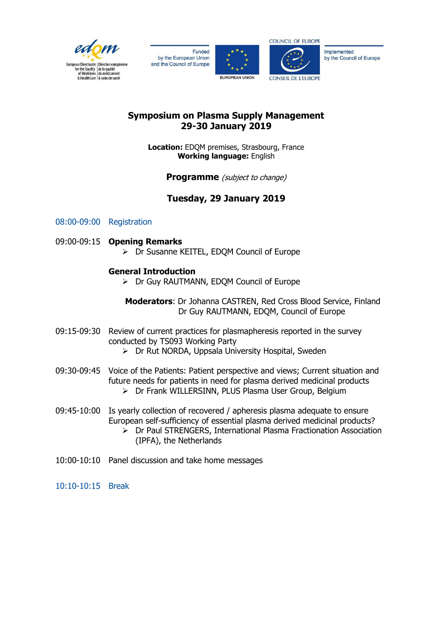

Funded by the European Union and the Council of Europe





Implemented by the Council of Europe

### **Symposium on Plasma Supply Management 29-30 January 2019**

**Location:** EDQM premises, Strasbourg, France **Working language:** English

**Programme** *(subject to change)* 

## **Tuesday, 29 January 2019**

### 08:00-09:00 Registration

#### 09:00-09:15 **Opening Remarks**

 $\triangleright$  Dr Susanne KEITEL, EDOM Council of Europe

#### **General Introduction**

Dr Guy RAUTMANN, EDQM Council of Europe

**Moderators**: Dr Johanna CASTREN, Red Cross Blood Service, Finland Dr Guy RAUTMANN, EDQM, Council of Europe

- 09:15-09:30 Review of current practices for plasmapheresis reported in the survey conducted by TS093 Working Party
	- > Dr Rut NORDA, Uppsala University Hospital, Sweden
- 09:30-09:45 Voice of the Patients: Patient perspective and views; Current situation and future needs for patients in need for plasma derived medicinal products Dr Frank WILLERSINN, PLUS Plasma User Group, Belgium
- 09:45-10:00 Is yearly collection of recovered / apheresis plasma adequate to ensure European self-sufficiency of essential plasma derived medicinal products? Dr Paul STRENGERS, International Plasma Fractionation Association (IPFA), the Netherlands
- 10:00-10:10 Panel discussion and take home messages
- 10:10-10:15 Break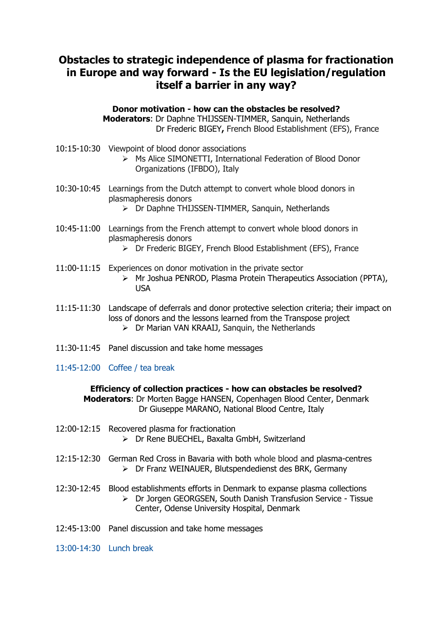# **Obstacles to strategic independence of plasma for fractionation in Europe and way forward - Is the EU legislation/regulation itself a barrier in any way?**

**Donor motivation - how can the obstacles be resolved? Moderators**: Dr Daphne THIJSSEN-TIMMER, Sanquin, Netherlands Dr Frederic BIGEY**,** French Blood Establishment (EFS), France

- 10:15-10:30 Viewpoint of blood donor associations
	- Ms Alice SIMONETTI, International Federation of Blood Donor Organizations (IFBDO), Italy
- 10:30-10:45 Learnings from the Dutch attempt to convert whole blood donors in plasmapheresis donors
	- Dr Daphne THIJSSEN-TIMMER, Sanquin, Netherlands
- 10:45-11:00 Learnings from the French attempt to convert whole blood donors in plasmapheresis donors
	- Dr Frederic BIGEY, French Blood Establishment (EFS), France
- 11:00-11:15 Experiences on donor motivation in the private sector
	- Mr Joshua PENROD, Plasma Protein Therapeutics Association (PPTA), USA
- 11:15-11:30 Landscape of deferrals and donor protective selection criteria; their impact on loss of donors and the lessons learned from the Transpose project  $\triangleright$  Dr Marian VAN KRAAIJ, Sanguin, the Netherlands
- 11:30-11:45 Panel discussion and take home messages
- 11:45-12:00 Coffee / tea break

**Efficiency of collection practices - how can obstacles be resolved? Moderators**: Dr Morten Bagge HANSEN, Copenhagen Blood Center, Denmark Dr Giuseppe MARANO, National Blood Centre, Italy

- 12:00-12:15 Recovered plasma for fractionation > Dr Rene BUECHEL, Baxalta GmbH, Switzerland
- 12:15-12:30 German Red Cross in Bavaria with both whole blood and plasma-centres Dr Franz WEINAUER, Blutspendedienst des BRK, Germany
- 12:30-12:45 Blood establishments efforts in Denmark to expanse plasma collections Dr Jorgen GEORGSEN, South Danish Transfusion Service - Tissue Center, Odense University Hospital, Denmark
- 12:45-13:00 Panel discussion and take home messages
- 13:00-14:30 Lunch break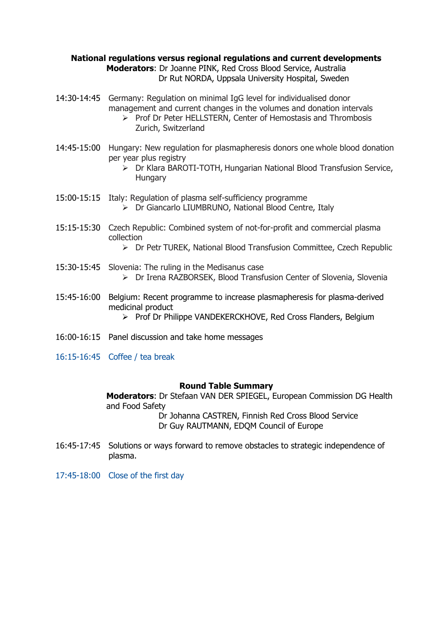#### **National regulations versus regional regulations and current developments Moderators**: Dr Joanne PINK, Red Cross Blood Service, Australia Dr Rut NORDA, Uppsala University Hospital, Sweden

- 14:30-14:45 Germany: Regulation on minimal IgG level for individualised donor management and current changes in the volumes and donation intervals
	- $\triangleright$  Prof Dr Peter HELLSTERN, Center of Hemostasis and Thrombosis Zurich, Switzerland
- 14:45-15:00 Hungary: New regulation for plasmapheresis donors one whole blood donation per year plus registry
	- Dr Klara BAROTI-TOTH, Hungarian National Blood Transfusion Service, **Hungary**
- 15:00-15:15 Italy: Regulation of plasma self-sufficiency programme Dr Giancarlo LIUMBRUNO, National Blood Centre, Italy
- 15:15-15:30 Czech Republic: Combined system of not-for-profit and commercial plasma collection
	- Dr Petr TUREK, National Blood Transfusion Committee, Czech Republic
- 15:30-15:45 Slovenia: The ruling in the Medisanus case Dr Irena RAZBORSEK, Blood Transfusion Center of Slovenia, Slovenia
- 15:45-16:00 Belgium: Recent programme to increase plasmapheresis for plasma-derived medicinal product
	- $\triangleright$  Prof Dr Philippe VANDEKERCKHOVE, Red Cross Flanders, Belgium
- 16:00-16:15 Panel discussion and take home messages
- 16:15-16:45 Coffee / tea break

#### **Round Table Summary**

**Moderators**: Dr Stefaan VAN DER SPIEGEL, European Commission DG Health and Food Safety

 Dr Johanna CASTREN, Finnish Red Cross Blood Service Dr Guy RAUTMANN, EDQM Council of Europe

- 16:45-17:45 Solutions or ways forward to remove obstacles to strategic independence of plasma.
- 17:45-18:00 Close of the first day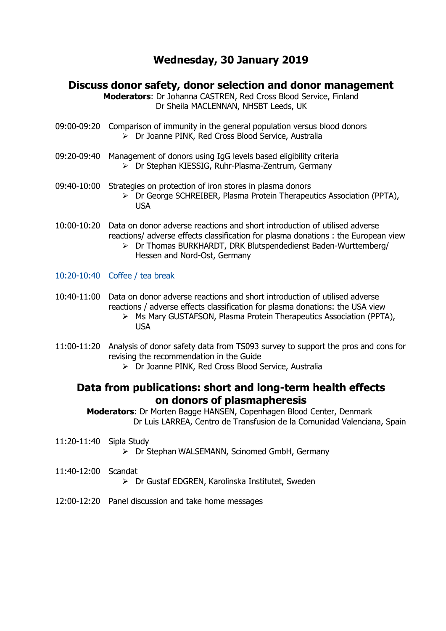# **Wednesday, 30 January 2019**

### **Discuss donor safety, donor selection and donor management**

**Moderators**: Dr Johanna CASTREN, Red Cross Blood Service, Finland Dr Sheila MACLENNAN, NHSBT Leeds, UK

- 09:00-09:20 Comparison of immunity in the general population versus blood donors Dr Joanne PINK, Red Cross Blood Service, Australia
- 09:20-09:40 Management of donors using IgG levels based eligibility criteria Dr Stephan KIESSIG, Ruhr-Plasma-Zentrum, Germany
- 09:40-10:00 Strategies on protection of iron stores in plasma donors Dr George SCHREIBER, Plasma Protein Therapeutics Association (PPTA), USA
- 10:00-10:20 Data on donor adverse reactions and short introduction of utilised adverse reactions/ adverse effects classification for plasma donations : the European view
	- Dr Thomas BURKHARDT, DRK Blutspendedienst Baden-Wurttemberg/ Hessen and Nord-Ost, Germany
- 10:20-10:40 Coffee / tea break
- 10:40-11:00 Data on donor adverse reactions and short introduction of utilised adverse reactions / adverse effects classification for plasma donations: the USA view
	- Ms Mary GUSTAFSON, Plasma Protein Therapeutics Association (PPTA), USA
- 11:00-11:20 Analysis of donor safety data from TS093 survey to support the pros and cons for revising the recommendation in the Guide
	- Dr Joanne PINK, Red Cross Blood Service, Australia

### **Data from publications: short and long-term health effects on donors of plasmapheresis**

 **Moderators**: Dr Morten Bagge HANSEN, Copenhagen Blood Center, Denmark Dr Luis LARREA, Centro de Transfusion de la Comunidad Valenciana, Spain

11:20-11:40 Sipla Study

 $\triangleright$  Dr Stephan WALSEMANN, Scinomed GmbH, Germany

- 11:40-12:00 Scandat
	- Dr Gustaf EDGREN, Karolinska Institutet, Sweden
- 12:00-12:20 Panel discussion and take home messages